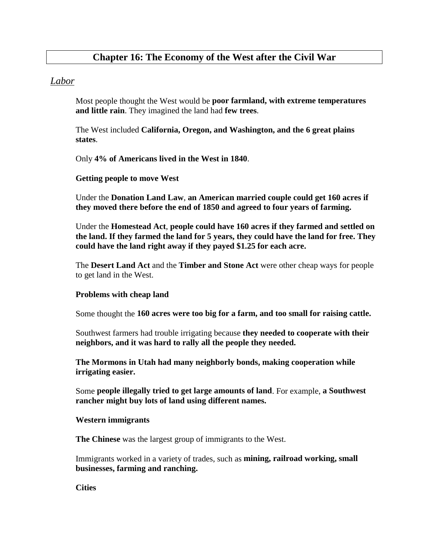# **Chapter 16: The Economy of the West after the Civil War**

# *Labor*

Most people thought the West would be **poor farmland, with extreme temperatures and little rain**. They imagined the land had **few trees**.

The West included **California, Oregon, and Washington, and the 6 great plains states**.

Only **4% of Americans lived in the West in 1840**.

#### **Getting people to move West**

Under the **Donation Land Law**, **an American married couple could get 160 acres if they moved there before the end of 1850 and agreed to four years of farming.**

Under the **Homestead Act**, **people could have 160 acres if they farmed and settled on the land. If they farmed the land for 5 years, they could have the land for free. They could have the land right away if they payed \$1.25 for each acre.**

The **Desert Land Act** and the **Timber and Stone Act** were other cheap ways for people to get land in the West.

#### **Problems with cheap land**

Some thought the **160 acres were too big for a farm, and too small for raising cattle.**

Southwest farmers had trouble irrigating because **they needed to cooperate with their neighbors, and it was hard to rally all the people they needed.**

**The Mormons in Utah had many neighborly bonds, making cooperation while irrigating easier.**

Some **people illegally tried to get large amounts of land**. For example, **a Southwest rancher might buy lots of land using different names.**

#### **Western immigrants**

**The Chinese** was the largest group of immigrants to the West.

Immigrants worked in a variety of trades, such as **mining, railroad working, small businesses, farming and ranching.** 

**Cities**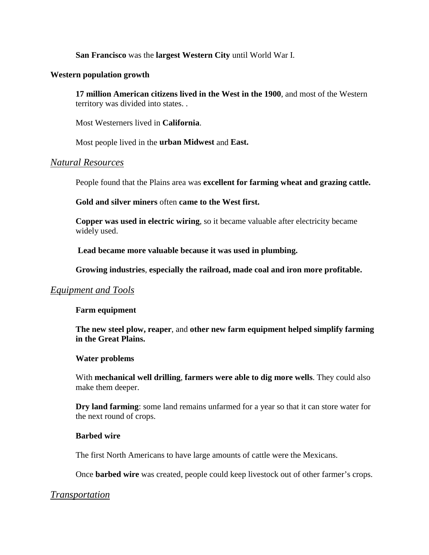**San Francisco** was the **largest Western City** until World War I.

#### **Western population growth**

**17 million American citizens lived in the West in the 1900**, and most of the Western territory was divided into states. .

Most Westerners lived in **California**.

Most people lived in the **urban Midwest** and **East.**

#### *Natural Resources*

People found that the Plains area was **excellent for farming wheat and grazing cattle.**

**Gold and silver miners** often **came to the West first.**

**Copper was used in electric wiring**, so it became valuable after electricity became widely used.

 **Lead became more valuable because it was used in plumbing.**

**Growing industries**, **especially the railroad, made coal and iron more profitable.**

# *Equipment and Tools*

#### **Farm equipment**

**The new steel plow, reaper**, and **other new farm equipment helped simplify farming in the Great Plains.**

#### **Water problems**

With **mechanical well drilling**, **farmers were able to dig more wells**. They could also make them deeper.

**Dry land farming**: some land remains unfarmed for a year so that it can store water for the next round of crops.

#### **Barbed wire**

The first North Americans to have large amounts of cattle were the Mexicans.

Once **barbed wire** was created, people could keep livestock out of other farmer's crops.

# *Transportation*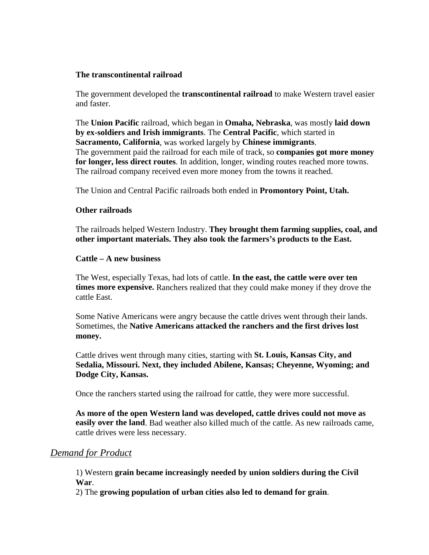#### **The transcontinental railroad**

The government developed the **transcontinental railroad** to make Western travel easier and faster.

The **Union Pacific** railroad, which began in **Omaha, Nebraska**, was mostly **laid down by ex-soldiers and Irish immigrants**. The **Central Pacific**, which started in **Sacramento, California**, was worked largely by **Chinese immigrants**. The government paid the railroad for each mile of track, so **companies got more money for longer, less direct routes**. In addition, longer, winding routes reached more towns. The railroad company received even more money from the towns it reached.

The Union and Central Pacific railroads both ended in **Promontory Point, Utah.**

#### **Other railroads**

The railroads helped Western Industry. **They brought them farming supplies, coal, and other important materials. They also took the farmers's products to the East.**

#### **Cattle – A new business**

The West, especially Texas, had lots of cattle. **In the east, the cattle were over ten times more expensive.** Ranchers realized that they could make money if they drove the cattle East.

Some Native Americans were angry because the cattle drives went through their lands. Sometimes, the **Native Americans attacked the ranchers and the first drives lost money.**

Cattle drives went through many cities, starting with **St. Louis, Kansas City, and Sedalia, Missouri. Next, they included Abilene, Kansas; Cheyenne, Wyoming; and Dodge City, Kansas.**

Once the ranchers started using the railroad for cattle, they were more successful.

**As more of the open Western land was developed, cattle drives could not move as easily over the land**. Bad weather also killed much of the cattle. As new railroads came, cattle drives were less necessary.

# *Demand for Product*

1) Western **grain became increasingly needed by union soldiers during the Civil War**.

2) The **growing population of urban cities also led to demand for grain**.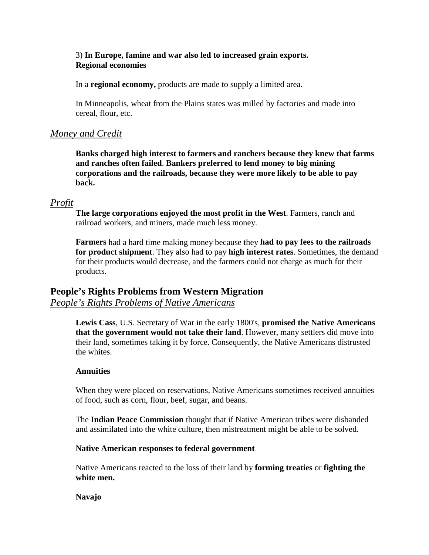# 3) **In Europe, famine and war also led to increased grain exports. Regional economies**

In a **regional economy,** products are made to supply a limited area.

In Minneapolis, wheat from the Plains states was milled by factories and made into cereal, flour, etc.

# *Money and Credit*

**Banks charged high interest to farmers and ranchers because they knew that farms and ranches often failed**. **Bankers preferred to lend money to big mining corporations and the railroads, because they were more likely to be able to pay back.**

# *Profit*

**The large corporations enjoyed the most profit in the West**. Farmers, ranch and railroad workers, and miners, made much less money.

**Farmers** had a hard time making money because they **had to pay fees to the railroads for product shipment**. They also had to pay **high interest rates**. Sometimes, the demand for their products would decrease, and the farmers could not charge as much for their products.

# **People's Rights Problems from Western Migration**

*People's Rights Problems of Native Americans*

**Lewis Cass**, U.S. Secretary of War in the early 1800's, **promised the Native Americans that the government would not take their land**. However, many settlers did move into their land, sometimes taking it by force. Consequently, the Native Americans distrusted the whites.

#### **Annuities**

When they were placed on reservations, Native Americans sometimes received annuities of food, such as corn, flour, beef, sugar, and beans.

The **Indian Peace Commission** thought that if Native American tribes were disbanded and assimilated into the white culture, then mistreatment might be able to be solved.

#### **Native American responses to federal government**

Native Americans reacted to the loss of their land by **forming treaties** or **fighting the white men.**

#### **Navajo**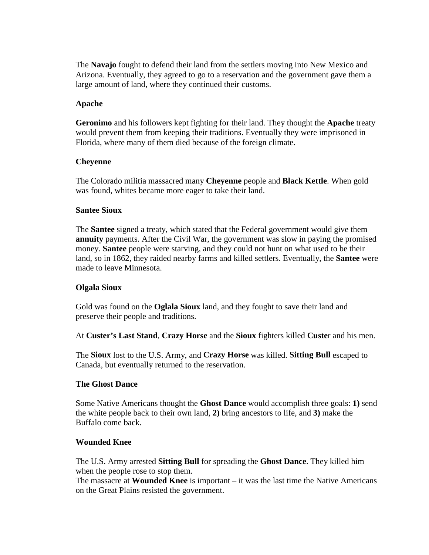The **Navajo** fought to defend their land from the settlers moving into New Mexico and Arizona. Eventually, they agreed to go to a reservation and the government gave them a large amount of land, where they continued their customs.

#### **Apache**

**Geronimo** and his followers kept fighting for their land. They thought the **Apache** treaty would prevent them from keeping their traditions. Eventually they were imprisoned in Florida, where many of them died because of the foreign climate.

#### **Cheyenne**

The Colorado militia massacred many **Cheyenne** people and **Black Kettle**. When gold was found, whites became more eager to take their land.

#### **Santee Sioux**

The **Santee** signed a treaty, which stated that the Federal government would give them **annuity** payments. After the Civil War, the government was slow in paying the promised money. **Santee** people were starving, and they could not hunt on what used to be their land, so in 1862, they raided nearby farms and killed settlers. Eventually, the **Santee** were made to leave Minnesota.

#### **Olgala Sioux**

Gold was found on the **Oglala Sioux** land, and they fought to save their land and preserve their people and traditions.

At **Custer's Last Stand**, **Crazy Horse** and the **Sioux** fighters killed **Custe**r and his men.

The **Sioux** lost to the U.S. Army, and **Crazy Horse** was killed. **Sitting Bull** escaped to Canada, but eventually returned to the reservation.

#### **The Ghost Dance**

Some Native Americans thought the **Ghost Dance** would accomplish three goals: **1)** send the white people back to their own land, **2)** bring ancestors to life, and **3)** make the Buffalo come back.

#### **Wounded Knee**

The U.S. Army arrested **Sitting Bull** for spreading the **Ghost Dance**. They killed him when the people rose to stop them.

The massacre at **Wounded Knee** is important – it was the last time the Native Americans on the Great Plains resisted the government.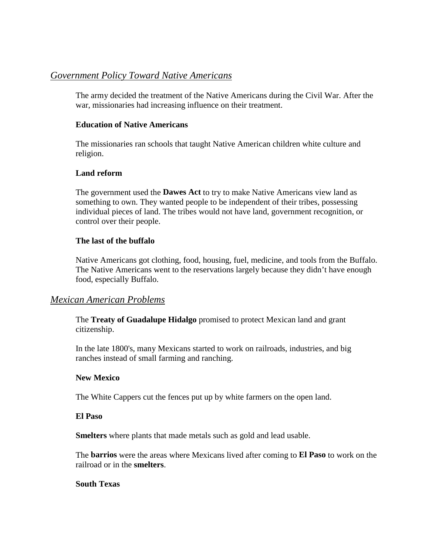# *Government Policy Toward Native Americans*

The army decided the treatment of the Native Americans during the Civil War. After the war, missionaries had increasing influence on their treatment.

#### **Education of Native Americans**

The missionaries ran schools that taught Native American children white culture and religion.

#### **Land reform**

The government used the **Dawes Act** to try to make Native Americans view land as something to own. They wanted people to be independent of their tribes, possessing individual pieces of land. The tribes would not have land, government recognition, or control over their people.

#### **The last of the buffalo**

Native Americans got clothing, food, housing, fuel, medicine, and tools from the Buffalo. The Native Americans went to the reservations largely because they didn't have enough food, especially Buffalo.

# *Mexican American Problems*

The **Treaty of Guadalupe Hidalgo** promised to protect Mexican land and grant citizenship.

In the late 1800's, many Mexicans started to work on railroads, industries, and big ranches instead of small farming and ranching.

# **New Mexico**

The White Cappers cut the fences put up by white farmers on the open land.

#### **El Paso**

**Smelters** where plants that made metals such as gold and lead usable.

The **barrios** were the areas where Mexicans lived after coming to **El Paso** to work on the railroad or in the **smelters**.

#### **South Texas**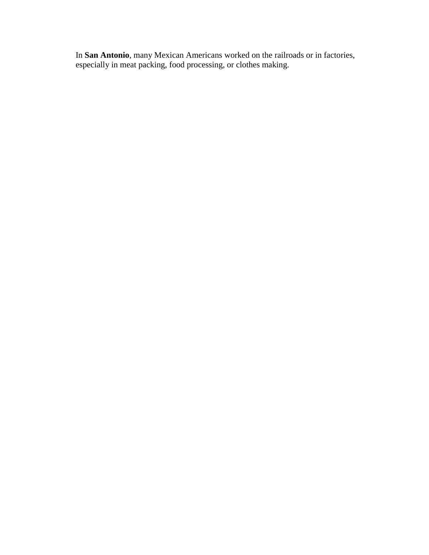In **San Antonio**, many Mexican Americans worked on the railroads or in factories, especially in meat packing, food processing, or clothes making.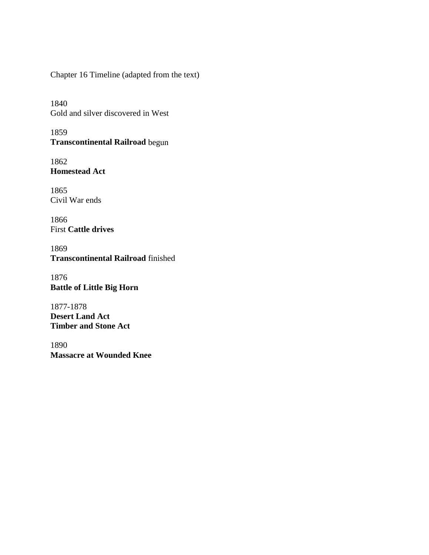Chapter 16 Timeline (adapted from the text)

1840 Gold and silver discovered in West

1859 **Transcontinental Railroad** begun

1862 **Homestead Act**

1865 Civil War ends

1866 First **Cattle drives**

1869 **Transcontinental Railroad** finished

1876 **Battle of Little Big Horn**

1877-1878 **Desert Land Act Timber and Stone Act**

1890 **Massacre at Wounded Knee**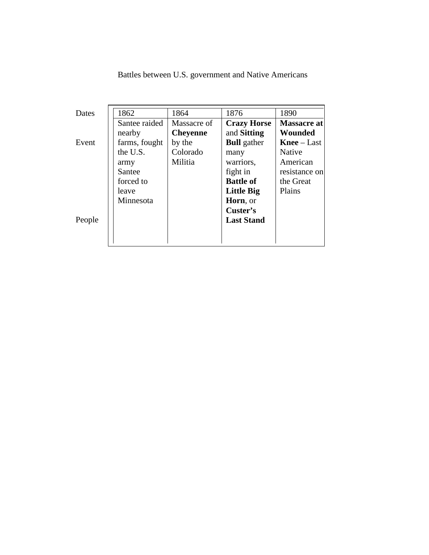| <b>Dates</b> | 1862          | 1864            | 1876               | 1890               |
|--------------|---------------|-----------------|--------------------|--------------------|
|              | Santee raided | Massacre of     | <b>Crazy Horse</b> | Massacre at        |
|              | nearby        | <b>Cheyenne</b> | and <b>Sitting</b> | Wounded            |
| Event        | farms, fought | by the          | <b>Bull</b> gather | <b>Knee</b> – Last |
|              | the U.S.      | Colorado        | many               | <b>Native</b>      |
|              | army          | Militia         | warriors,          | American           |
|              | Santee        |                 | fight in           | resistance on      |
|              | forced to     |                 | <b>Battle of</b>   | the Great          |
|              | leave         |                 | <b>Little Big</b>  | Plains             |
|              | Minnesota     |                 | Horn, or           |                    |
|              |               |                 | Custer's           |                    |
| People       |               |                 | <b>Last Stand</b>  |                    |
|              |               |                 |                    |                    |
|              |               |                 |                    |                    |

Battles between U.S. government and Native Americans